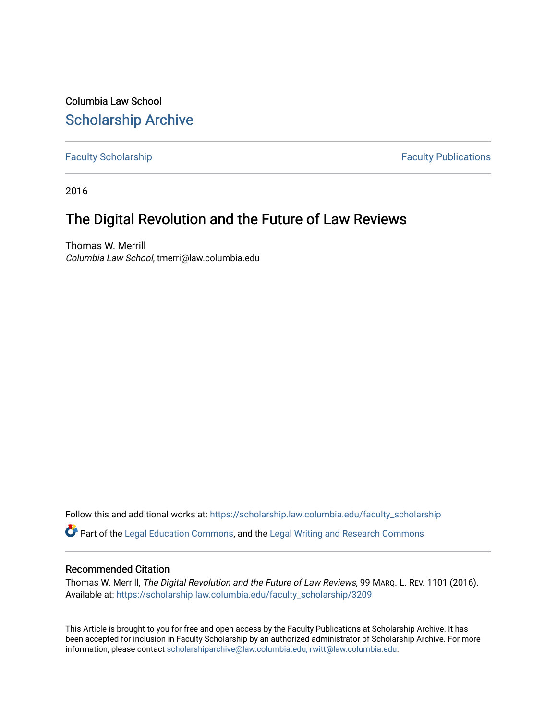Columbia Law School [Scholarship Archive](https://scholarship.law.columbia.edu/) 

[Faculty Scholarship](https://scholarship.law.columbia.edu/faculty_scholarship) **Faculty Scholarship Faculty Publications** 

2016

## The Digital Revolution and the Future of Law Reviews

Thomas W. Merrill Columbia Law School, tmerri@law.columbia.edu

Follow this and additional works at: [https://scholarship.law.columbia.edu/faculty\\_scholarship](https://scholarship.law.columbia.edu/faculty_scholarship?utm_source=scholarship.law.columbia.edu%2Ffaculty_scholarship%2F3209&utm_medium=PDF&utm_campaign=PDFCoverPages)

Part of the [Legal Education Commons,](http://network.bepress.com/hgg/discipline/857?utm_source=scholarship.law.columbia.edu%2Ffaculty_scholarship%2F3209&utm_medium=PDF&utm_campaign=PDFCoverPages) and the [Legal Writing and Research Commons](http://network.bepress.com/hgg/discipline/614?utm_source=scholarship.law.columbia.edu%2Ffaculty_scholarship%2F3209&utm_medium=PDF&utm_campaign=PDFCoverPages)

### Recommended Citation

Thomas W. Merrill, The Digital Revolution and the Future of Law Reviews, 99 MARQ. L. REV. 1101 (2016). Available at: [https://scholarship.law.columbia.edu/faculty\\_scholarship/3209](https://scholarship.law.columbia.edu/faculty_scholarship/3209?utm_source=scholarship.law.columbia.edu%2Ffaculty_scholarship%2F3209&utm_medium=PDF&utm_campaign=PDFCoverPages)

This Article is brought to you for free and open access by the Faculty Publications at Scholarship Archive. It has been accepted for inclusion in Faculty Scholarship by an authorized administrator of Scholarship Archive. For more information, please contact [scholarshiparchive@law.columbia.edu, rwitt@law.columbia.edu](mailto:scholarshiparchive@law.columbia.edu,%20rwitt@law.columbia.edu).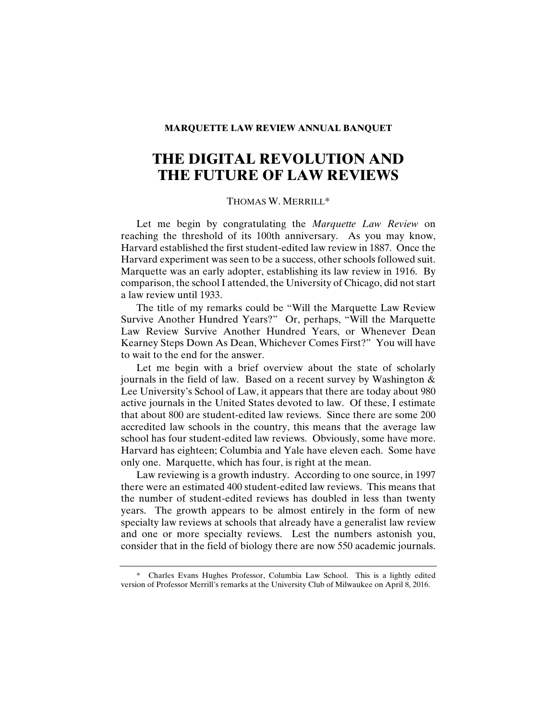#### **MARQUETTE LAW REVIEW ANNUAL BANQUET**

# **THE DIGITAL REVOLUTION AND THE FUTURE OF LAW REVIEWS**

#### THOMAS W. MERRILL\*

Let me begin by congratulating the *Marquette Law Review* on reaching the threshold of its 100th anniversary. As you may know, Harvard established the first student-edited law review in 1887. Once the Harvard experiment was seen to be a success, other schools followed suit. Marquette was an early adopter, establishing its law review in 1916. By comparison, the school I attended, the University of Chicago, did not start a law review until 1933.

The title of my remarks could be "Will the Marquette Law Review Survive Another Hundred Years?" Or, perhaps, "Will the Marquette Law Review Survive Another Hundred Years, or Whenever Dean Kearney Steps Down As Dean, Whichever Comes First?" You will have to wait to the end for the answer.

Let me begin with a brief overview about the state of scholarly journals in the field of law. Based on a recent survey by Washington & Lee University's School of Law, it appears that there are today about 980 active journals in the United States devoted to law. Of these, I estimate that about 800 are student-edited law reviews. Since there are some 200 accredited law schools in the country, this means that the average law school has four student-edited law reviews. Obviously, some have more. Harvard has eighteen; Columbia and Yale have eleven each. Some have only one. Marquette, which has four, is right at the mean.

Law reviewing is a growth industry. According to one source, in 1997 there were an estimated 400 student-edited law reviews. This means that the number of student-edited reviews has doubled in less than twenty years. The growth appears to be almost entirely in the form of new specialty law reviews at schools that already have a generalist law review and one or more specialty reviews. Lest the numbers astonish you, consider that in the field of biology there are now 550 academic journals.

 \* Charles Evans Hughes Professor, Columbia Law School. This is a lightly edited version of Professor Merrill's remarks at the University Club of Milwaukee on April 8, 2016.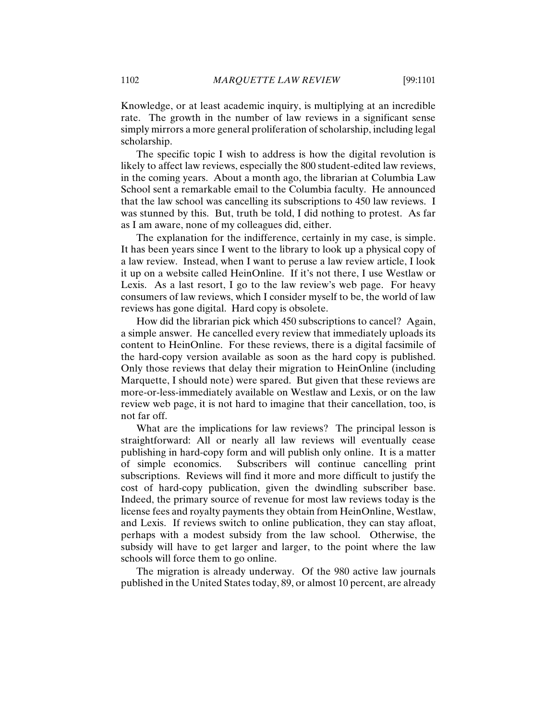Knowledge, or at least academic inquiry, is multiplying at an incredible rate. The growth in the number of law reviews in a significant sense simply mirrors a more general proliferation of scholarship, including legal scholarship.

The specific topic I wish to address is how the digital revolution is likely to affect law reviews, especially the 800 student-edited law reviews, in the coming years. About a month ago, the librarian at Columbia Law School sent a remarkable email to the Columbia faculty. He announced that the law school was cancelling its subscriptions to 450 law reviews. I was stunned by this. But, truth be told, I did nothing to protest. As far as I am aware, none of my colleagues did, either.

The explanation for the indifference, certainly in my case, is simple. It has been years since I went to the library to look up a physical copy of a law review. Instead, when I want to peruse a law review article, I look it up on a website called HeinOnline. If it's not there, I use Westlaw or Lexis. As a last resort, I go to the law review's web page. For heavy consumers of law reviews, which I consider myself to be, the world of law reviews has gone digital. Hard copy is obsolete.

How did the librarian pick which 450 subscriptions to cancel? Again, a simple answer. He cancelled every review that immediately uploads its content to HeinOnline. For these reviews, there is a digital facsimile of the hard-copy version available as soon as the hard copy is published. Only those reviews that delay their migration to HeinOnline (including Marquette, I should note) were spared. But given that these reviews are more-or-less-immediately available on Westlaw and Lexis, or on the law review web page, it is not hard to imagine that their cancellation, too, is not far off.

What are the implications for law reviews? The principal lesson is straightforward: All or nearly all law reviews will eventually cease publishing in hard-copy form and will publish only online. It is a matter of simple economics. Subscribers will continue cancelling print subscriptions. Reviews will find it more and more difficult to justify the cost of hard-copy publication, given the dwindling subscriber base. Indeed, the primary source of revenue for most law reviews today is the license fees and royalty payments they obtain from HeinOnline, Westlaw, and Lexis. If reviews switch to online publication, they can stay afloat, perhaps with a modest subsidy from the law school. Otherwise, the subsidy will have to get larger and larger, to the point where the law schools will force them to go online.

The migration is already underway. Of the 980 active law journals published in the United States today, 89, or almost 10 percent, are already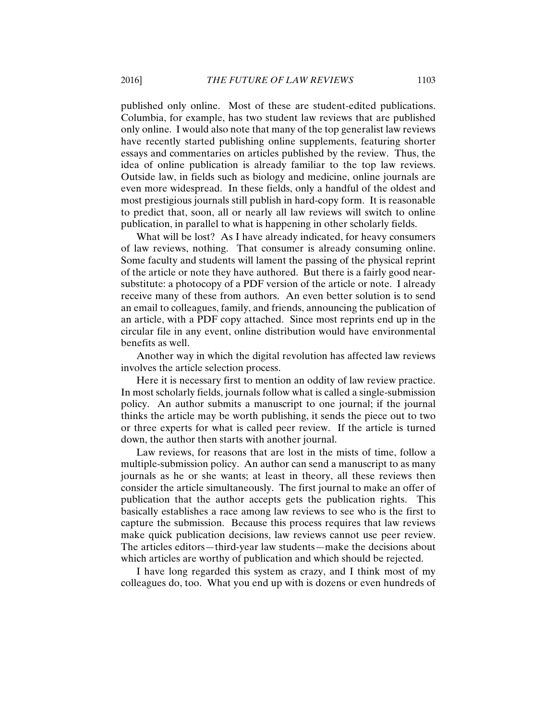published only online. Most of these are student-edited publications. Columbia, for example, has two student law reviews that are published only online. I would also note that many of the top generalist law reviews have recently started publishing online supplements, featuring shorter essays and commentaries on articles published by the review. Thus, the idea of online publication is already familiar to the top law reviews. Outside law, in fields such as biology and medicine, online journals are even more widespread. In these fields, only a handful of the oldest and most prestigious journals still publish in hard-copy form. It is reasonable to predict that, soon, all or nearly all law reviews will switch to online publication, in parallel to what is happening in other scholarly fields.

What will be lost? As I have already indicated, for heavy consumers of law reviews, nothing. That consumer is already consuming online. Some faculty and students will lament the passing of the physical reprint of the article or note they have authored. But there is a fairly good nearsubstitute: a photocopy of a PDF version of the article or note. I already receive many of these from authors. An even better solution is to send an email to colleagues, family, and friends, announcing the publication of an article, with a PDF copy attached. Since most reprints end up in the circular file in any event, online distribution would have environmental benefits as well.

Another way in which the digital revolution has affected law reviews involves the article selection process.

Here it is necessary first to mention an oddity of law review practice. In most scholarly fields, journals follow what is called a single-submission policy. An author submits a manuscript to one journal; if the journal thinks the article may be worth publishing, it sends the piece out to two or three experts for what is called peer review. If the article is turned down, the author then starts with another journal.

Law reviews, for reasons that are lost in the mists of time, follow a multiple-submission policy. An author can send a manuscript to as many journals as he or she wants; at least in theory, all these reviews then consider the article simultaneously. The first journal to make an offer of publication that the author accepts gets the publication rights. This basically establishes a race among law reviews to see who is the first to capture the submission. Because this process requires that law reviews make quick publication decisions, law reviews cannot use peer review. The articles editors—third-year law students—make the decisions about which articles are worthy of publication and which should be rejected.

I have long regarded this system as crazy, and I think most of my colleagues do, too. What you end up with is dozens or even hundreds of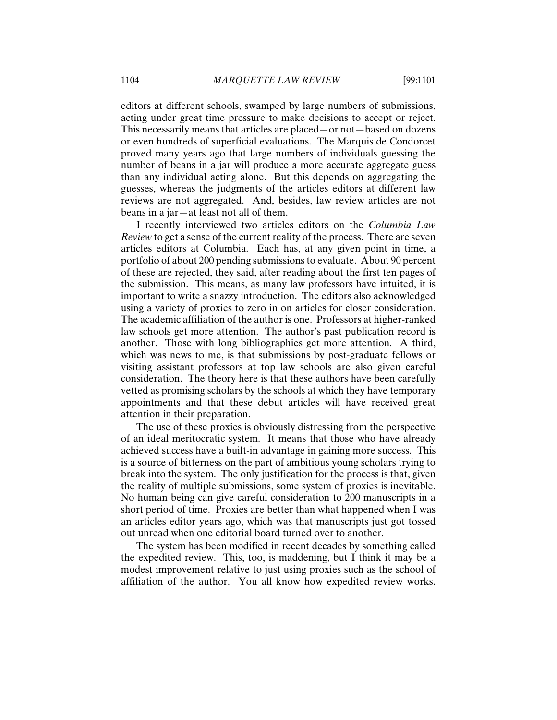editors at different schools, swamped by large numbers of submissions, acting under great time pressure to make decisions to accept or reject. This necessarily means that articles are placed—or not—based on dozens or even hundreds of superficial evaluations. The Marquis de Condorcet proved many years ago that large numbers of individuals guessing the number of beans in a jar will produce a more accurate aggregate guess than any individual acting alone. But this depends on aggregating the guesses, whereas the judgments of the articles editors at different law reviews are not aggregated. And, besides, law review articles are not beans in a jar—at least not all of them.

I recently interviewed two articles editors on the *Columbia Law Review* to get a sense of the current reality of the process. There are seven articles editors at Columbia. Each has, at any given point in time, a portfolio of about 200 pending submissions to evaluate. About 90 percent of these are rejected, they said, after reading about the first ten pages of the submission. This means, as many law professors have intuited, it is important to write a snazzy introduction. The editors also acknowledged using a variety of proxies to zero in on articles for closer consideration. The academic affiliation of the author is one. Professors at higher-ranked law schools get more attention. The author's past publication record is another. Those with long bibliographies get more attention. A third, which was news to me, is that submissions by post-graduate fellows or visiting assistant professors at top law schools are also given careful consideration. The theory here is that these authors have been carefully vetted as promising scholars by the schools at which they have temporary appointments and that these debut articles will have received great attention in their preparation.

The use of these proxies is obviously distressing from the perspective of an ideal meritocratic system. It means that those who have already achieved success have a built-in advantage in gaining more success. This is a source of bitterness on the part of ambitious young scholars trying to break into the system. The only justification for the process is that, given the reality of multiple submissions, some system of proxies is inevitable. No human being can give careful consideration to 200 manuscripts in a short period of time. Proxies are better than what happened when I was an articles editor years ago, which was that manuscripts just got tossed out unread when one editorial board turned over to another.

The system has been modified in recent decades by something called the expedited review. This, too, is maddening, but I think it may be a modest improvement relative to just using proxies such as the school of affiliation of the author. You all know how expedited review works.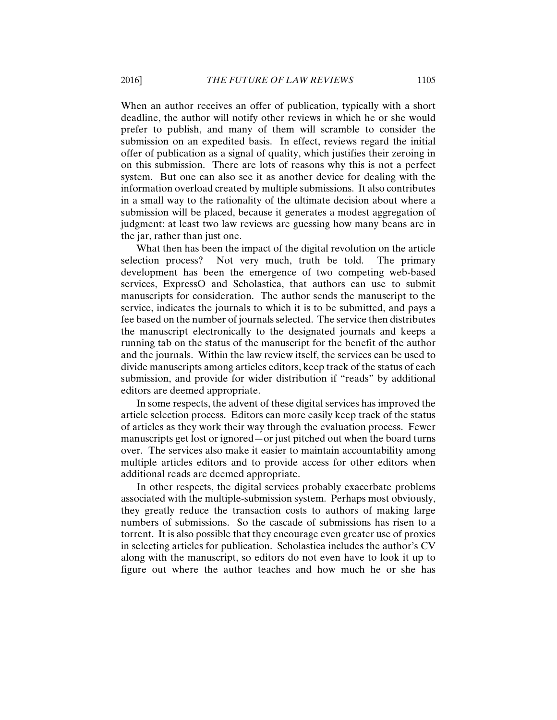When an author receives an offer of publication, typically with a short deadline, the author will notify other reviews in which he or she would prefer to publish, and many of them will scramble to consider the submission on an expedited basis. In effect, reviews regard the initial offer of publication as a signal of quality, which justifies their zeroing in on this submission. There are lots of reasons why this is not a perfect system. But one can also see it as another device for dealing with the information overload created by multiple submissions. It also contributes in a small way to the rationality of the ultimate decision about where a submission will be placed, because it generates a modest aggregation of judgment: at least two law reviews are guessing how many beans are in the jar, rather than just one.

What then has been the impact of the digital revolution on the article selection process? Not very much, truth be told. The primary development has been the emergence of two competing web-based services, ExpressO and Scholastica, that authors can use to submit manuscripts for consideration. The author sends the manuscript to the service, indicates the journals to which it is to be submitted, and pays a fee based on the number of journals selected. The service then distributes the manuscript electronically to the designated journals and keeps a running tab on the status of the manuscript for the benefit of the author and the journals. Within the law review itself, the services can be used to divide manuscripts among articles editors, keep track of the status of each submission, and provide for wider distribution if "reads" by additional editors are deemed appropriate.

In some respects, the advent of these digital services has improved the article selection process. Editors can more easily keep track of the status of articles as they work their way through the evaluation process. Fewer manuscripts get lost or ignored—or just pitched out when the board turns over. The services also make it easier to maintain accountability among multiple articles editors and to provide access for other editors when additional reads are deemed appropriate.

In other respects, the digital services probably exacerbate problems associated with the multiple-submission system. Perhaps most obviously, they greatly reduce the transaction costs to authors of making large numbers of submissions. So the cascade of submissions has risen to a torrent. It is also possible that they encourage even greater use of proxies in selecting articles for publication. Scholastica includes the author's CV along with the manuscript, so editors do not even have to look it up to figure out where the author teaches and how much he or she has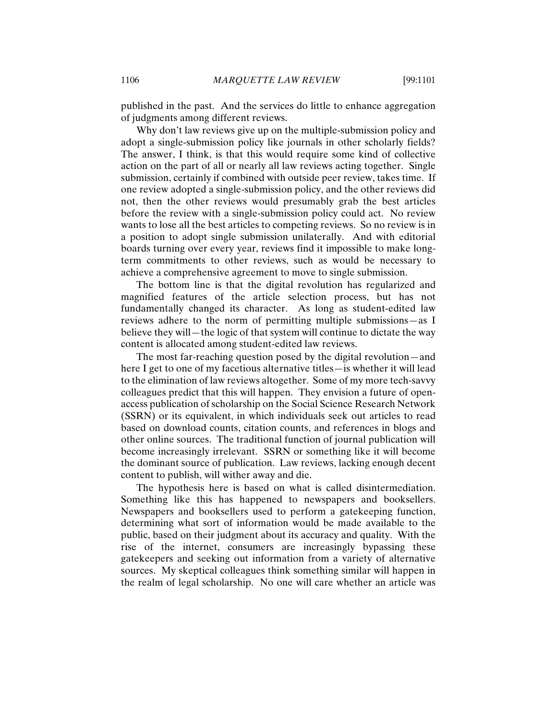published in the past. And the services do little to enhance aggregation of judgments among different reviews.

Why don't law reviews give up on the multiple-submission policy and adopt a single-submission policy like journals in other scholarly fields? The answer, I think, is that this would require some kind of collective action on the part of all or nearly all law reviews acting together. Single submission, certainly if combined with outside peer review, takes time. If one review adopted a single-submission policy, and the other reviews did not, then the other reviews would presumably grab the best articles before the review with a single-submission policy could act. No review wants to lose all the best articles to competing reviews. So no review is in a position to adopt single submission unilaterally. And with editorial boards turning over every year, reviews find it impossible to make longterm commitments to other reviews, such as would be necessary to achieve a comprehensive agreement to move to single submission.

The bottom line is that the digital revolution has regularized and magnified features of the article selection process, but has not fundamentally changed its character. As long as student-edited law reviews adhere to the norm of permitting multiple submissions—as I believe they will—the logic of that system will continue to dictate the way content is allocated among student-edited law reviews.

The most far-reaching question posed by the digital revolution—and here I get to one of my facetious alternative titles—is whether it will lead to the elimination of law reviews altogether. Some of my more tech-savvy colleagues predict that this will happen. They envision a future of openaccess publication of scholarship on the Social Science Research Network (SSRN) or its equivalent, in which individuals seek out articles to read based on download counts, citation counts, and references in blogs and other online sources. The traditional function of journal publication will become increasingly irrelevant. SSRN or something like it will become the dominant source of publication. Law reviews, lacking enough decent content to publish, will wither away and die.

The hypothesis here is based on what is called disintermediation. Something like this has happened to newspapers and booksellers. Newspapers and booksellers used to perform a gatekeeping function, determining what sort of information would be made available to the public, based on their judgment about its accuracy and quality. With the rise of the internet, consumers are increasingly bypassing these gatekeepers and seeking out information from a variety of alternative sources. My skeptical colleagues think something similar will happen in the realm of legal scholarship. No one will care whether an article was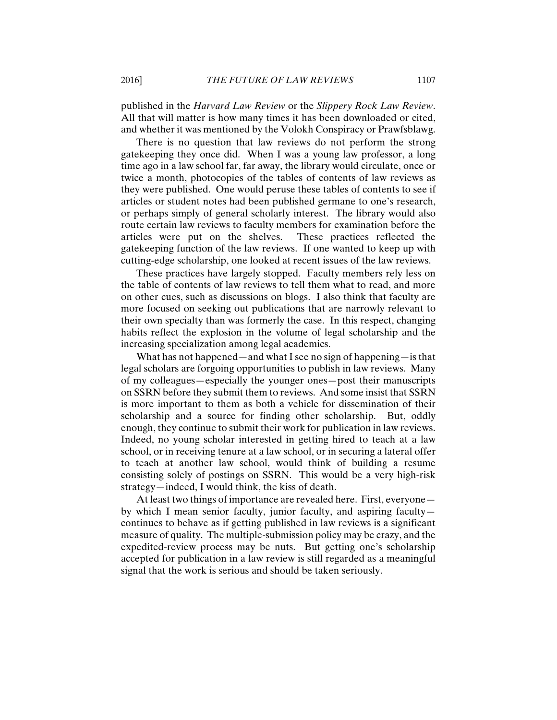published in the *Harvard Law Review* or the *Slippery Rock Law Review*. All that will matter is how many times it has been downloaded or cited, and whether it was mentioned by the Volokh Conspiracy or Prawfsblawg.

There is no question that law reviews do not perform the strong gatekeeping they once did. When I was a young law professor, a long time ago in a law school far, far away, the library would circulate, once or twice a month, photocopies of the tables of contents of law reviews as they were published. One would peruse these tables of contents to see if articles or student notes had been published germane to one's research, or perhaps simply of general scholarly interest. The library would also route certain law reviews to faculty members for examination before the articles were put on the shelves. These practices reflected the gatekeeping function of the law reviews. If one wanted to keep up with cutting-edge scholarship, one looked at recent issues of the law reviews.

These practices have largely stopped. Faculty members rely less on the table of contents of law reviews to tell them what to read, and more on other cues, such as discussions on blogs. I also think that faculty are more focused on seeking out publications that are narrowly relevant to their own specialty than was formerly the case. In this respect, changing habits reflect the explosion in the volume of legal scholarship and the increasing specialization among legal academics.

What has not happened—and what I see no sign of happening—is that legal scholars are forgoing opportunities to publish in law reviews. Many of my colleagues—especially the younger ones—post their manuscripts on SSRN before they submit them to reviews. And some insist that SSRN is more important to them as both a vehicle for dissemination of their scholarship and a source for finding other scholarship. But, oddly enough, they continue to submit their work for publication in law reviews. Indeed, no young scholar interested in getting hired to teach at a law school, or in receiving tenure at a law school, or in securing a lateral offer to teach at another law school, would think of building a resume consisting solely of postings on SSRN. This would be a very high-risk strategy—indeed, I would think, the kiss of death.

At least two things of importance are revealed here. First, everyone by which I mean senior faculty, junior faculty, and aspiring faculty continues to behave as if getting published in law reviews is a significant measure of quality. The multiple-submission policy may be crazy, and the expedited-review process may be nuts. But getting one's scholarship accepted for publication in a law review is still regarded as a meaningful signal that the work is serious and should be taken seriously.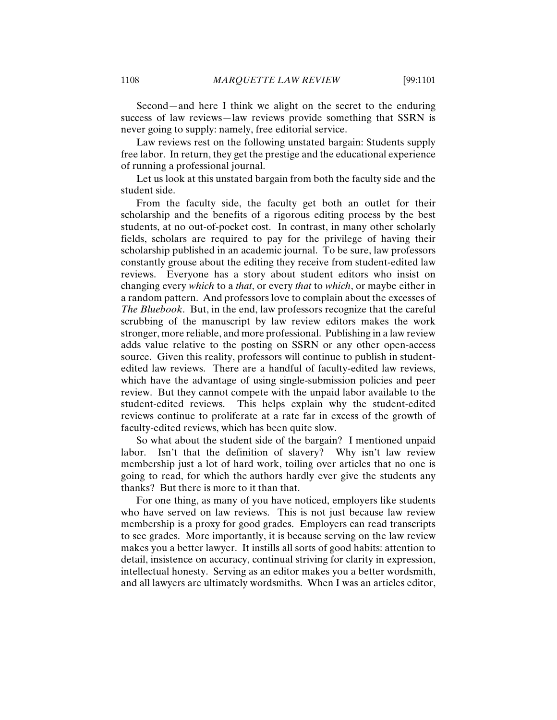Second—and here I think we alight on the secret to the enduring success of law reviews—law reviews provide something that SSRN is never going to supply: namely, free editorial service.

Law reviews rest on the following unstated bargain: Students supply free labor. In return, they get the prestige and the educational experience of running a professional journal.

Let us look at this unstated bargain from both the faculty side and the student side.

From the faculty side, the faculty get both an outlet for their scholarship and the benefits of a rigorous editing process by the best students, at no out-of-pocket cost. In contrast, in many other scholarly fields, scholars are required to pay for the privilege of having their scholarship published in an academic journal. To be sure, law professors constantly grouse about the editing they receive from student-edited law reviews. Everyone has a story about student editors who insist on changing every *which* to a *that*, or every *that* to *which*, or maybe either in a random pattern. And professors love to complain about the excesses of *The Bluebook*. But, in the end, law professors recognize that the careful scrubbing of the manuscript by law review editors makes the work stronger, more reliable, and more professional. Publishing in a law review adds value relative to the posting on SSRN or any other open-access source. Given this reality, professors will continue to publish in studentedited law reviews. There are a handful of faculty-edited law reviews, which have the advantage of using single-submission policies and peer review. But they cannot compete with the unpaid labor available to the student-edited reviews. This helps explain why the student-edited reviews continue to proliferate at a rate far in excess of the growth of faculty-edited reviews, which has been quite slow.

So what about the student side of the bargain? I mentioned unpaid labor. Isn't that the definition of slavery? Why isn't law review membership just a lot of hard work, toiling over articles that no one is going to read, for which the authors hardly ever give the students any thanks? But there is more to it than that.

For one thing, as many of you have noticed, employers like students who have served on law reviews. This is not just because law review membership is a proxy for good grades. Employers can read transcripts to see grades. More importantly, it is because serving on the law review makes you a better lawyer. It instills all sorts of good habits: attention to detail, insistence on accuracy, continual striving for clarity in expression, intellectual honesty. Serving as an editor makes you a better wordsmith, and all lawyers are ultimately wordsmiths. When I was an articles editor,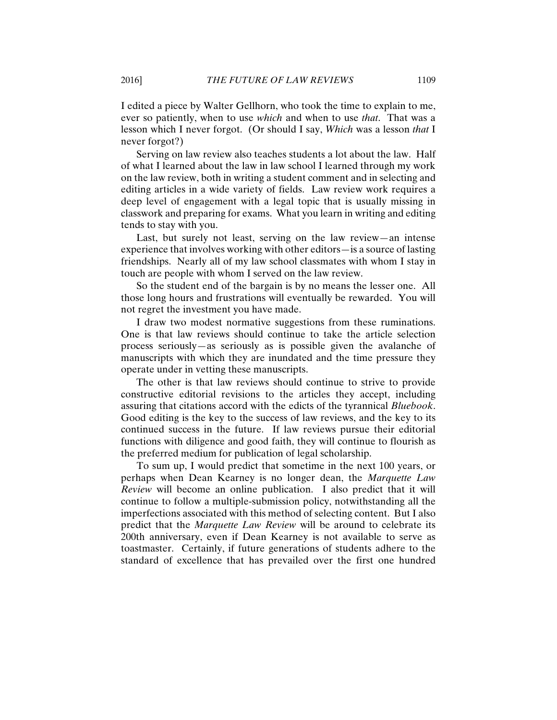I edited a piece by Walter Gellhorn, who took the time to explain to me, ever so patiently, when to use *which* and when to use *that*. That was a lesson which I never forgot. (Or should I say, *Which* was a lesson *that* I never forgot?)

Serving on law review also teaches students a lot about the law. Half of what I learned about the law in law school I learned through my work on the law review, both in writing a student comment and in selecting and editing articles in a wide variety of fields. Law review work requires a deep level of engagement with a legal topic that is usually missing in classwork and preparing for exams. What you learn in writing and editing tends to stay with you.

Last, but surely not least, serving on the law review—an intense experience that involves working with other editors—is a source of lasting friendships. Nearly all of my law school classmates with whom I stay in touch are people with whom I served on the law review.

So the student end of the bargain is by no means the lesser one. All those long hours and frustrations will eventually be rewarded. You will not regret the investment you have made.

I draw two modest normative suggestions from these ruminations. One is that law reviews should continue to take the article selection process seriously—as seriously as is possible given the avalanche of manuscripts with which they are inundated and the time pressure they operate under in vetting these manuscripts.

The other is that law reviews should continue to strive to provide constructive editorial revisions to the articles they accept, including assuring that citations accord with the edicts of the tyrannical *Bluebook*. Good editing is the key to the success of law reviews, and the key to its continued success in the future. If law reviews pursue their editorial functions with diligence and good faith, they will continue to flourish as the preferred medium for publication of legal scholarship.

To sum up, I would predict that sometime in the next 100 years, or perhaps when Dean Kearney is no longer dean, the *Marquette Law Review* will become an online publication. I also predict that it will continue to follow a multiple-submission policy, notwithstanding all the imperfections associated with this method of selecting content. But I also predict that the *Marquette Law Review* will be around to celebrate its 200th anniversary, even if Dean Kearney is not available to serve as toastmaster. Certainly, if future generations of students adhere to the standard of excellence that has prevailed over the first one hundred